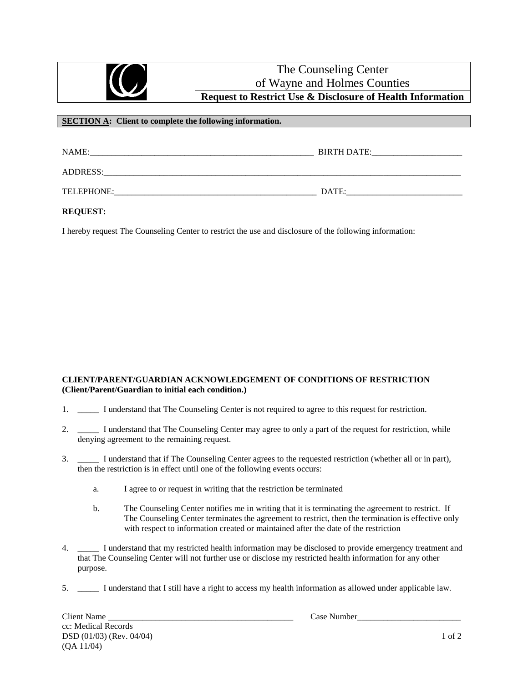|                                                                 | The Counseling Center<br>of Wayne and Holmes Counties<br><b>Request to Restrict Use &amp; Disclosure of Health Information</b> |  |  |  |  |
|-----------------------------------------------------------------|--------------------------------------------------------------------------------------------------------------------------------|--|--|--|--|
| <b>SECTION A:</b> Client to complete the following information. |                                                                                                                                |  |  |  |  |
| NAME:<br>ADDRESS:                                               | BIRTH DATE:                                                                                                                    |  |  |  |  |

TELEPHONE: UNITERED AT EXAMPLE THE PHONE:

**REQUEST:**

I hereby request The Counseling Center to restrict the use and disclosure of the following information:

## **CLIENT/PARENT/GUARDIAN ACKNOWLEDGEMENT OF CONDITIONS OF RESTRICTION (Client/Parent/Guardian to initial each condition.)**

- 1. \_\_\_\_\_ I understand that The Counseling Center is not required to agree to this request for restriction.
- 2. I understand that The Counseling Center may agree to only a part of the request for restriction, while denying agreement to the remaining request.
- 3. \_\_\_\_\_ I understand that if The Counseling Center agrees to the requested restriction (whether all or in part), then the restriction is in effect until one of the following events occurs:
	- a. I agree to or request in writing that the restriction be terminated
	- b. The Counseling Center notifies me in writing that it is terminating the agreement to restrict. If The Counseling Center terminates the agreement to restrict, then the termination is effective only with respect to information created or maintained after the date of the restriction
- 4. \_\_\_\_\_ I understand that my restricted health information may be disclosed to provide emergency treatment and that The Counseling Center will not further use or disclose my restricted health information for any other purpose.
- 5. \_\_\_\_\_ I understand that I still have a right to access my health information as allowed under applicable law.